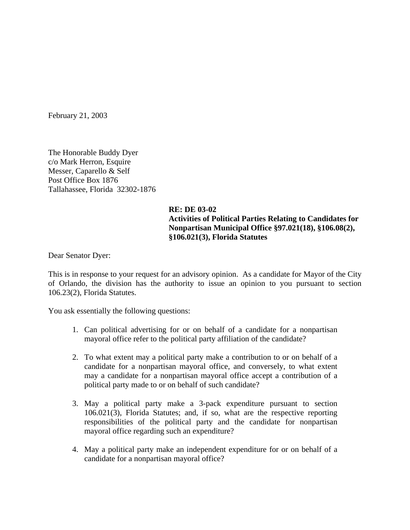February 21, 2003

The Honorable Buddy Dyer c/o Mark Herron, Esquire Messer, Caparello & Self Post Office Box 1876 Tallahassee, Florida 32302-1876

## **RE: DE 03-02 Activities of Political Parties Relating to Candidates for Nonpartisan Municipal Office §97.021(18), §106.08(2), §106.021(3), Florida Statutes**

Dear Senator Dyer:

This is in response to your request for an advisory opinion. As a candidate for Mayor of the City of Orlando, the division has the authority to issue an opinion to you pursuant to section 106.23(2), Florida Statutes.

You ask essentially the following questions:

- 1. Can political advertising for or on behalf of a candidate for a nonpartisan mayoral office refer to the political party affiliation of the candidate?
- 2. To what extent may a political party make a contribution to or on behalf of a candidate for a nonpartisan mayoral office, and conversely, to what extent may a candidate for a nonpartisan mayoral office accept a contribution of a political party made to or on behalf of such candidate?
- 3. May a political party make a 3-pack expenditure pursuant to section 106.021(3), Florida Statutes; and, if so, what are the respective reporting responsibilities of the political party and the candidate for nonpartisan mayoral office regarding such an expenditure?
- 4. May a political party make an independent expenditure for or on behalf of a candidate for a nonpartisan mayoral office?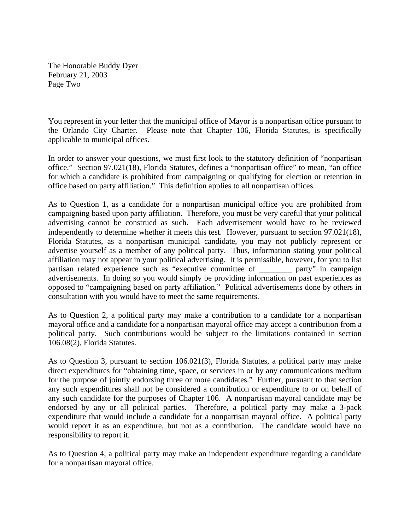The Honorable Buddy Dyer February 21, 2003 Page Two

You represent in your letter that the municipal office of Mayor is a nonpartisan office pursuant to the Orlando City Charter. Please note that Chapter 106, Florida Statutes, is specifically applicable to municipal offices.

In order to answer your questions, we must first look to the statutory definition of "nonpartisan office." Section 97.021(18), Florida Statutes, defines a "nonpartisan office" to mean, "an office for which a candidate is prohibited from campaigning or qualifying for election or retention in office based on party affiliation." This definition applies to all nonpartisan offices.

As to Question 1, as a candidate for a nonpartisan municipal office you are prohibited from campaigning based upon party affiliation. Therefore, you must be very careful that your political advertising cannot be construed as such. Each advertisement would have to be reviewed independently to determine whether it meets this test. However, pursuant to section 97.021(18), Florida Statutes, as a nonpartisan municipal candidate, you may not publicly represent or advertise yourself as a member of any political party. Thus, information stating your political affiliation may not appear in your political advertising. It is permissible, however, for you to list partisan related experience such as "executive committee of party" in campaign advertisements. In doing so you would simply be providing information on past experiences as opposed to "campaigning based on party affiliation." Political advertisements done by others in consultation with you would have to meet the same requirements.

As to Question 2, a political party may make a contribution to a candidate for a nonpartisan mayoral office and a candidate for a nonpartisan mayoral office may accept a contribution from a political party. Such contributions would be subject to the limitations contained in section 106.08(2), Florida Statutes.

As to Question 3, pursuant to section 106.021(3), Florida Statutes, a political party may make direct expenditures for "obtaining time, space, or services in or by any communications medium for the purpose of jointly endorsing three or more candidates." Further, pursuant to that section any such expenditures shall not be considered a contribution or expenditure to or on behalf of any such candidate for the purposes of Chapter 106. A nonpartisan mayoral candidate may be endorsed by any or all political parties. Therefore, a political party may make a 3-pack expenditure that would include a candidate for a nonpartisan mayoral office. A political party would report it as an expenditure, but not as a contribution. The candidate would have no responsibility to report it.

As to Question 4, a political party may make an independent expenditure regarding a candidate for a nonpartisan mayoral office.